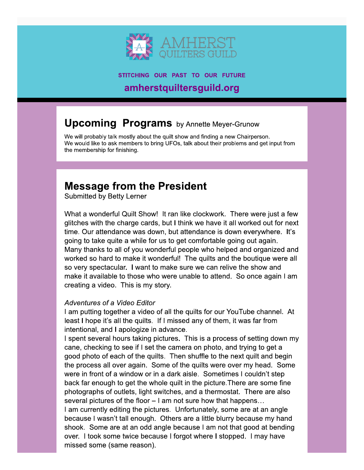

## STITCHING OUR PAST TO OUR FUTURE amherstquiltersguild.org

# **Upcoming Programs** by Annette Meyer-Grunow

We will probably talk mostly about the quilt show and finding a new Chairperson. We would like to ask members to bring UFOs, talk about their problems and get input from the membership for finishing.

## **Message from the President**

**Submitted by Betty Lerner** 

What a wonderful Quilt Show! It ran like clockwork. There were just a few glitches with the charge cards, but I think we have it all worked out for next time. Our attendance was down, but attendance is down everywhere. It's going to take quite a while for us to get comfortable going out again. Many thanks to all of you wonderful people who helped and organized and worked so hard to make it wonderful! The quilts and the boutique were all so very spectacular. I want to make sure we can relive the show and make it available to those who were unable to attend. So once again I am creating a video. This is my story.

#### Adventures of a Video Editor

I am putting together a video of all the quilts for our YouTube channel. At least I hope it's all the quilts. If I missed any of them, it was far from intentional, and I apologize in advance.

I spent several hours taking pictures. This is a process of setting down my cane, checking to see if I set the camera on photo, and trying to get a good photo of each of the quilts. Then shuffle to the next quilt and begin the process all over again. Some of the quilts were over my head. Some were in front of a window or in a dark aisle. Sometimes I couldn't step back far enough to get the whole quilt in the picture. There are some fine photographs of outlets, light switches, and a thermostat. There are also several pictures of the floor - I am not sure how that happens... I am currently editing the pictures. Unfortunately, some are at an angle

because I wasn't tall enough. Others are a little blurry because my hand shook. Some are at an odd angle because I am not that good at bending over. I took some twice because I forgot where I stopped. I may have missed some (same reason).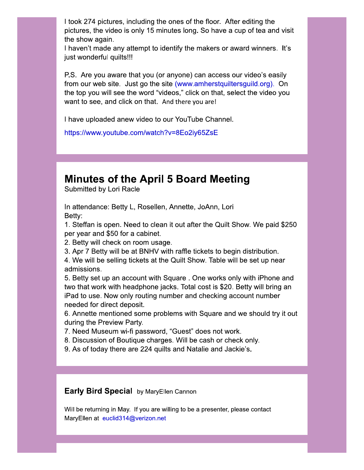I took 274 pictures, including the ones of the floor. After editing the pictures, the video is only 15 minutes long. So have a cup of tea and visit the show again.

I haven't made any attempt to identify the makers or award winners. It's just wonderful quilts!!!

P.S. Are you aware that you (or anyone) can access our video's easily from our web site. Just go the site (www.amherstquiltersquild.org). On the top you will see the word "videos," click on that, select the video you want to see, and click on that. And there you are!

I have uploaded anew video to our YouTube Channel.

https://www.youtube.com/watch?v=8Eo2iy65ZsE

### **Minutes of the April 5 Board Meeting**

Submitted by Lori Racle

In attendance: Betty L, Rosellen, Annette, JoAnn, Lori Betty:

1. Steffan is open. Need to clean it out after the Quilt Show. We paid \$250 per year and \$50 for a cabinet.

2. Betty will check on room usage.

3. Apr 7 Betty will be at BNHV with raffle tickets to begin distribution.

4. We will be selling tickets at the Quilt Show. Table will be set up near admissions.

5. Betty set up an account with Square. One works only with iPhone and two that work with headphone jacks. Total cost is \$20. Betty will bring an iPad to use. Now only routing number and checking account number needed for direct deposit.

6. Annette mentioned some problems with Square and we should try it out during the Preview Party.

7. Need Museum wi-fi password, "Guest" does not work.

8. Discussion of Boutique charges. Will be cash or check only.

9. As of today there are 224 quilts and Natalie and Jackie's.

**Early Bird Special** by MaryEllen Cannon

Will be returning in May. If you are willing to be a presenter, please contact MaryEllen at euclid314@verizon.net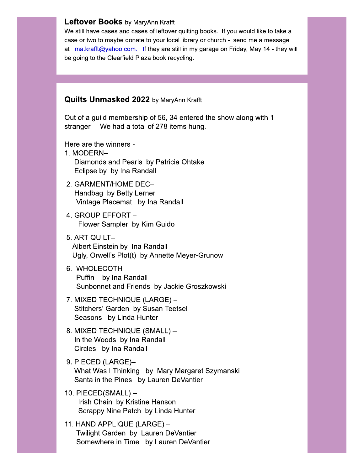#### **Leftover Books** by MaryAnn Krafft

We still have cases and cases of leftover quilting books. If you would like to take a case or two to maybe donate to your local library or church - send me a message at ma.krafft@yahoo.com. If they are still in my garage on Friday, May 14 - they will be going to the Clearfield Plaza book recycling.

#### **Quilts Unmasked 2022** by MaryAnn Krafft

Out of a guild membership of 56, 34 entered the show along with 1 stranger. We had a total of 278 items hung.

Here are the winners -

- 1. MODERN-Diamonds and Pearls by Patricia Ohtake Eclipse by by Ina Randall
- 2. GARMENT/HOME DEC-Handbag by Betty Lerner Vintage Placemat by Ina Randall
- 4. GROUP EFFORT -Flower Sampler by Kim Guido
- 5. ART QUILT-Albert Einstein by Ina Randall Ugly, Orwell's Plot(t) by Annette Meyer-Grunow
- 6. WHOLECOTH Puffin by Ina Randall Sunbonnet and Friends by Jackie Groszkowski
- 7. MIXED TECHNIQUE (LARGE) -Stitchers' Garden by Susan Teetsel Seasons by Linda Hunter
- 8. MIXED TECHNIQUE (SMALL) -In the Woods by Ina Randall Circles by Ina Randall
- 9. PIECED (LARGE)-What Was I Thinking by Mary Margaret Szymanski Santa in the Pines by Lauren DeVantier
- 10. PIECED(SMALL) -Irish Chain by Kristine Hanson Scrappy Nine Patch by Linda Hunter
- 11. HAND APPLIQUE (LARGE) -Twilight Garden by Lauren DeVantier Somewhere in Time by Lauren DeVantier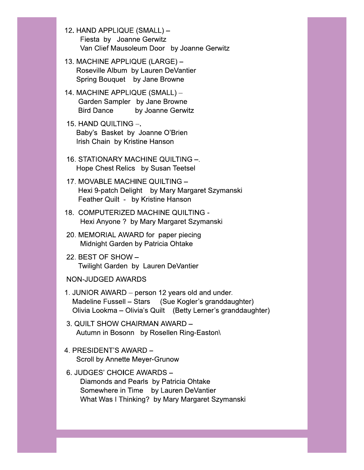- 12. HAND APPLIQUE (SMALL) -Fiesta by Joanne Gerwitz Van Clief Mausoleum Door by Joanne Gerwitz
- 13. MACHINE APPLIQUE (LARGE) -Roseville Album by Lauren DeVantier Spring Bouquet by Jane Browne
- 14. MACHINE APPLIQUE (SMALL) -Garden Sampler by Jane Browne **Bird Dance** by Joanne Gerwitz
- 15. HAND QUILTING -. Baby's Basket by Joanne O'Brien Irish Chain by Kristine Hanson
- 16. STATIONARY MACHINE QUILTING -. Hope Chest Relics by Susan Teetsel
- 17. MOVABLE MACHINE QUILTING -Hexi 9-patch Delight by Mary Margaret Szymanski Feather Quilt - by Kristine Hanson
- 18. COMPUTERIZED MACHINE QUILTING -Hexi Anyone ? by Mary Margaret Szymanski
- 20. MEMORIAL AWARD for paper piecing Midnight Garden by Patricia Ohtake
- 22. BEST OF SHOW -Twilight Garden by Lauren DeVantier

**NON-JUDGED AWARDS** 

- 1. JUNIOR AWARD person 12 years old and under. Madeline Fussell - Stars (Sue Kogler's granddaughter) Olivia Lookma - Olivia's Quilt (Betty Lerner's granddaughter)
- 3. QUILT SHOW CHAIRMAN AWARD -Autumn in Bosonn by Rosellen Ring-Easton\
- 4. PRESIDENT'S AWARD -**Scroll by Annette Meyer-Grunow**
- 6. JUDGES' CHOICE AWARDS -Diamonds and Pearls by Patricia Ohtake Somewhere in Time by Lauren DeVantier What Was I Thinking? by Mary Margaret Szymanski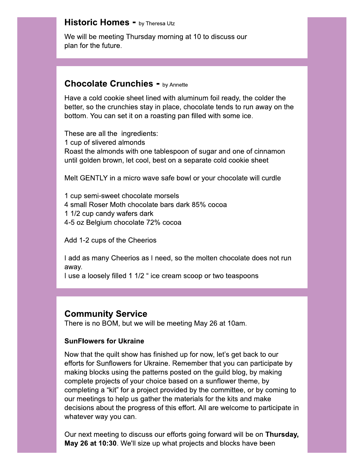### **Historic Homes - by Theresa Utz**

We will be meeting Thursday morning at 10 to discuss our plan for the future.

### **Chocolate Crunchies - by Annette**

Have a cold cookie sheet lined with aluminum foil ready, the colder the better, so the crunchies stay in place, chocolate tends to run away on the bottom. You can set it on a roasting pan filled with some ice.

These are all the ingredients:

1 cup of slivered almonds

Roast the almonds with one tablespoon of sugar and one of cinnamon until golden brown, let cool, best on a separate cold cookie sheet

Melt GENTLY in a micro wave safe bowl or your chocolate will curdle

1 cup semi-sweet chocolate morsels 4 small Roser Moth chocolate bars dark 85% cocoa 1 1/2 cup candy wafers dark 4-5 oz Belgium chocolate 72% cocoa

Add 1-2 cups of the Cheerios

I add as many Cheerios as I need, so the molten chocolate does not run away.

I use a loosely filled 1 1/2 " ice cream scoop or two teaspoons

### **Community Service**

There is no BOM, but we will be meeting May 26 at 10am.

#### **SunFlowers for Ukraine**

Now that the quilt show has finished up for now, let's get back to our efforts for Sunflowers for Ukraine. Remember that you can participate by making blocks using the patterns posted on the guild blog, by making complete projects of your choice based on a sunflower theme, by completing a "kit" for a project provided by the committee, or by coming to our meetings to help us gather the materials for the kits and make decisions about the progress of this effort. All are welcome to participate in whatever way you can.

Our next meeting to discuss our efforts going forward will be on Thursday, May 26 at 10:30. We'll size up what projects and blocks have been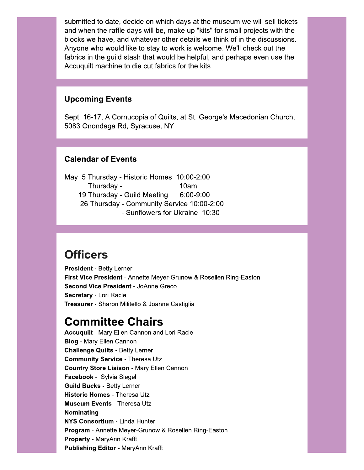submitted to date, decide on which days at the museum we will sell tickets and when the raffle days will be, make up "kits" for small projects with the blocks we have, and whatever other details we think of in the discussions. Anyone who would like to stay to work is welcome. We'll check out the fabrics in the guild stash that would be helpful, and perhaps even use the Accuquilt machine to die cut fabrics for the kits.

#### **Upcoming Events**

Sept 16-17, A Cornucopia of Quilts, at St. George's Macedonian Church, 5083 Onondaga Rd, Syracuse, NY

#### **Calendar of Events**

|                                | May 5 Thursday - Historic Homes 10:00-2:00 |               |  |
|--------------------------------|--------------------------------------------|---------------|--|
|                                | Thursday -                                 | 10am          |  |
|                                | 19 Thursday - Guild Meeting                | $6:00 - 9:00$ |  |
|                                | 26 Thursday - Community Service 10:00-2:00 |               |  |
| - Sunflowers for Ukraine 10:30 |                                            |               |  |

# **Officers**

**President - Betty Lerner** First Vice President - Annette Meyer-Grunow & Rosellen Ring-Easton Second Vice President - JoAnne Greco Secretary - Lori Racle Treasurer - Sharon Militello & Joanne Castiglia

## **Committee Chairs**

**Accuquilt - Mary Ellen Cannon and Lori Racle Blog - Mary Ellen Cannon Challenge Quilts - Betty Lerner Community Service - Theresa Utz Country Store Liaison - Mary Ellen Cannon** Facebook - Sylvia Siegel **Guild Bucks - Betty Lerner Historic Homes - Theresa Utz Museum Events - Theresa Utz** Nominating -NYS Consortium - Linda Hunter Program - Annette Meyer-Grunow & Rosellen Ring-Easton Property - MaryAnn Krafft Publishing Editor - MaryAnn Krafft